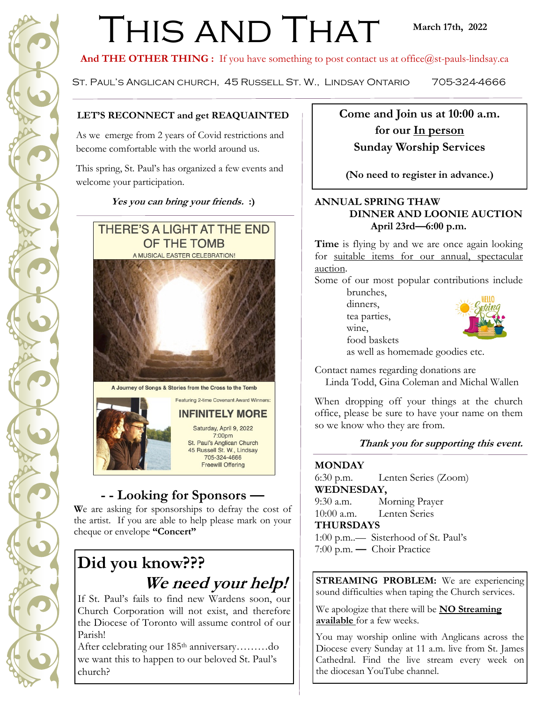# THIS AND THAT

And THE OTHER THING : If you have something to post contact us at office@st-pauls-lindsay.ca

St. Paul's Anglican church, 45 Russell St. W., Lindsay Ontario 705-324-4666

#### **LET'S RECONNECT and get REAQUAINTED**

As we emerge from 2 years of Covid restrictions and become comfortable with the world around us.

This spring, St. Paul's has organized a few events and welcome your participation.

**Yes you can bring your friends. :)**



A Journey of Songs & Stories from the Cross to the Tomb

Featuring 2-time Covenant Award Winners:



### **- - Looking for Sponsors —**

**W**e are asking for sponsorships to defray the cost of the artist. If you are able to help please mark on your cheque or envelope **"Concert"** 

## **Did you know??? We need your help!**

If St. Paul's fails to find new Wardens soon, our Church Corporation will not exist, and therefore the Diocese of Toronto will assume control of our Parish!

After celebrating our 185<sup>th</sup> anniversary………do we want this to happen to our beloved St. Paul's church?

**Come and Join us at 10:00 a.m. for our In person Sunday Worship Services** 

**(No need to register in advance.)**

#### **ANNUAL SPRING THAW DINNER AND LOONIE AUCTION April 23rd—6:00 p.m.**

Time is flying by and we are once again looking for suitable items for our annual, spectacular auction.

Some of our most popular contributions include brunches,

> dinners, tea parties, wine,

food baskets



as well as homemade goodies etc.

Contact names regarding donations are

Linda Todd, Gina Coleman and Michal Wallen

When dropping off your things at the church office, please be sure to have your name on them so we know who they are from.

#### **Thank you for supporting this event.**

#### **MONDAY**

6:30 p.m. Lenten Series (Zoom) **WEDNESDAY,** 

9:30 a.m. Morning Prayer

10:00 a.m. Lenten Series

**THURSDAYS**

1:00 p.m..— Sisterhood of St. Paul's 7:00 p.m. **—** Choir Practice

**STREAMING PROBLEM:** We are experiencing sound difficulties when taping the Church services.

We apologize that there will be **NO Streaming available** for a few weeks.

You may worship online with Anglicans across the Diocese every Sunday at 11 a.m. live from St. James Cathedral. Find the live stream every week on the diocesan YouTube channel.